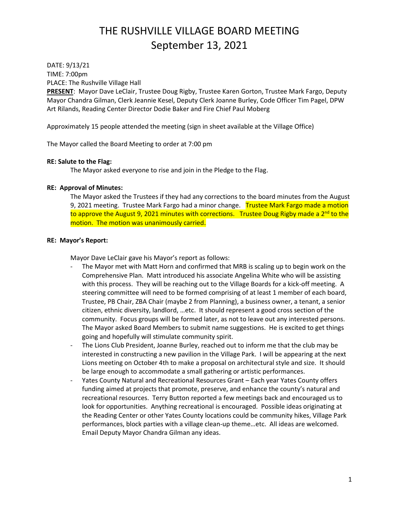DATE: 9/13/21 TIME: 7:00pm PLACE: The Rushville Village Hall

**PRESENT**: Mayor Dave LeClair, Trustee Doug Rigby, Trustee Karen Gorton, Trustee Mark Fargo, Deputy Mayor Chandra Gilman, Clerk Jeannie Kesel, Deputy Clerk Joanne Burley, Code Officer Tim Pagel, DPW Art Rilands, Reading Center Director Dodie Baker and Fire Chief Paul Moberg

Approximately 15 people attended the meeting (sign in sheet available at the Village Office)

The Mayor called the Board Meeting to order at 7:00 pm

#### **RE: Salute to the Flag:**

The Mayor asked everyone to rise and join in the Pledge to the Flag.

#### **RE: Approval of Minutes:**

The Mayor asked the Trustees if they had any corrections to the board minutes from the August 9, 2021 meeting. Trustee Mark Fargo had a minor change. Trustee Mark Fargo made a motion to approve the August 9, 2021 minutes with corrections. Trustee Doug Rigby made a 2<sup>nd</sup> to the motion. The motion was unanimously carried.

#### **RE: Mayor's Report:**

Mayor Dave LeClair gave his Mayor's report as follows:

- The Mayor met with Matt Horn and confirmed that MRB is scaling up to begin work on the Comprehensive Plan. Matt introduced his associate Angelina White who will be assisting with this process. They will be reaching out to the Village Boards for a kick-off meeting. A steering committee will need to be formed comprising of at least 1 member of each board, Trustee, PB Chair, ZBA Chair (maybe 2 from Planning), a business owner, a tenant, a senior citizen, ethnic diversity, landlord, …etc. It should represent a good cross section of the community. Focus groups will be formed later, as not to leave out any interested persons. The Mayor asked Board Members to submit name suggestions. He is excited to get things going and hopefully will stimulate community spirit.
- The Lions Club President, Joanne Burley, reached out to inform me that the club may be interested in constructing a new pavilion in the Village Park. I will be appearing at the next Lions meeting on October 4th to make a proposal on architectural style and size. It should be large enough to accommodate a small gathering or artistic performances.
- Yates County Natural and Recreational Resources Grant Each year Yates County offers funding aimed at projects that promote, preserve, and enhance the county's natural and recreational resources. Terry Button reported a few meetings back and encouraged us to look for opportunities. Anything recreational is encouraged. Possible ideas originating at the Reading Center or other Yates County locations could be community hikes, Village Park performances, block parties with a village clean-up theme…etc. All ideas are welcomed. Email Deputy Mayor Chandra Gilman any ideas.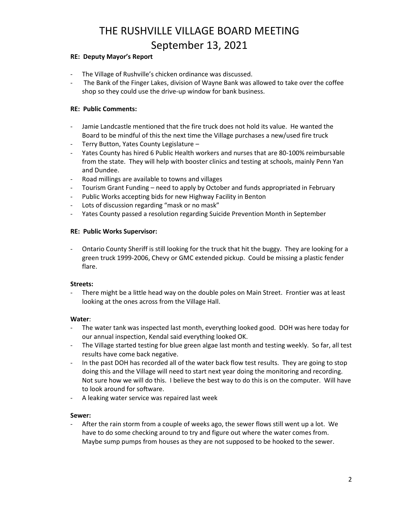#### **RE: Deputy Mayor's Report**

- The Village of Rushville's chicken ordinance was discussed.
- The Bank of the Finger Lakes, division of Wayne Bank was allowed to take over the coffee shop so they could use the drive-up window for bank business.

#### **RE: Public Comments:**

- Jamie Landcastle mentioned that the fire truck does not hold its value. He wanted the Board to be mindful of this the next time the Village purchases a new/used fire truck
- Terry Button, Yates County Legislature –
- Yates County has hired 6 Public Health workers and nurses that are 80-100% reimbursable from the state. They will help with booster clinics and testing at schools, mainly Penn Yan and Dundee.
- Road millings are available to towns and villages
- Tourism Grant Funding need to apply by October and funds appropriated in February
- Public Works accepting bids for new Highway Facility in Benton
- Lots of discussion regarding "mask or no mask"
- Yates County passed a resolution regarding Suicide Prevention Month in September

#### **RE: Public Works Supervisor:**

- Ontario County Sheriff is still looking for the truck that hit the buggy. They are looking for a green truck 1999-2006, Chevy or GMC extended pickup. Could be missing a plastic fender flare.

#### **Streets:**

There might be a little head way on the double poles on Main Street. Frontier was at least looking at the ones across from the Village Hall.

#### **Water**:

- The water tank was inspected last month, everything looked good. DOH was here today for our annual inspection, Kendal said everything looked OK.
- The Village started testing for blue green algae last month and testing weekly. So far, all test results have come back negative.
- In the past DOH has recorded all of the water back flow test results. They are going to stop doing this and the Village will need to start next year doing the monitoring and recording. Not sure how we will do this. I believe the best way to do this is on the computer. Will have to look around for software.
- A leaking water service was repaired last week

#### **Sewer:**

- After the rain storm from a couple of weeks ago, the sewer flows still went up a lot. We have to do some checking around to try and figure out where the water comes from. Maybe sump pumps from houses as they are not supposed to be hooked to the sewer.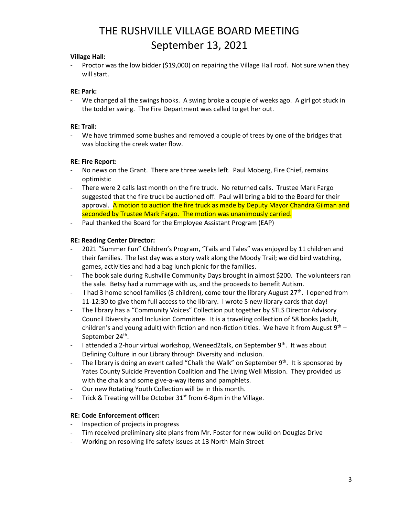#### **Village Hall:**

Proctor was the low bidder (\$19,000) on repairing the Village Hall roof. Not sure when they will start.

#### **RE: Park:**

We changed all the swings hooks. A swing broke a couple of weeks ago. A girl got stuck in the toddler swing. The Fire Department was called to get her out.

#### **RE: Trail:**

- We have trimmed some bushes and removed a couple of trees by one of the bridges that was blocking the creek water flow.

#### **RE: Fire Report:**

- No news on the Grant. There are three weeks left. Paul Moberg, Fire Chief, remains optimistic
- There were 2 calls last month on the fire truck. No returned calls. Trustee Mark Fargo suggested that the fire truck be auctioned off. Paul will bring a bid to the Board for their approval. A motion to auction the fire truck as made by Deputy Mayor Chandra Gilman and seconded by Trustee Mark Fargo. The motion was unanimously carried.
- Paul thanked the Board for the Employee Assistant Program (EAP)

#### **RE: Reading Center Director:**

- 2021 "Summer Fun" Children's Program, "Tails and Tales" was enjoyed by 11 children and their families. The last day was a story walk along the Moody Trail; we did bird watching, games, activities and had a bag lunch picnic for the families.
- The book sale during Rushville Community Days brought in almost \$200. The volunteers ran the sale. Betsy had a rummage with us, and the proceeds to benefit Autism.
- I had 3 home school families (8 children), come tour the library August  $27<sup>th</sup>$ . I opened from 11-12:30 to give them full access to the library. I wrote 5 new library cards that day!
- The library has a "Community Voices" Collection put together by STLS Director Advisory Council Diversity and Inclusion Committee. It is a traveling collection of 58 books (adult, children's and young adult) with fiction and non-fiction titles. We have it from August  $9<sup>th</sup>$  – September 24<sup>th</sup>.
- I attended a 2-hour virtual workshop, Weneed2talk, on September  $9<sup>th</sup>$ . It was about Defining Culture in our Library through Diversity and Inclusion.
- The library is doing an event called "Chalk the Walk" on September  $9<sup>th</sup>$ . It is sponsored by Yates County Suicide Prevention Coalition and The Living Well Mission. They provided us with the chalk and some give-a-way items and pamphlets.
- Our new Rotating Youth Collection will be in this month.
- Trick & Treating will be October  $31<sup>st</sup>$  from 6-8pm in the Village.

#### **RE: Code Enforcement officer:**

- Inspection of projects in progress
- Tim received preliminary site plans from Mr. Foster for new build on Douglas Drive
- Working on resolving life safety issues at 13 North Main Street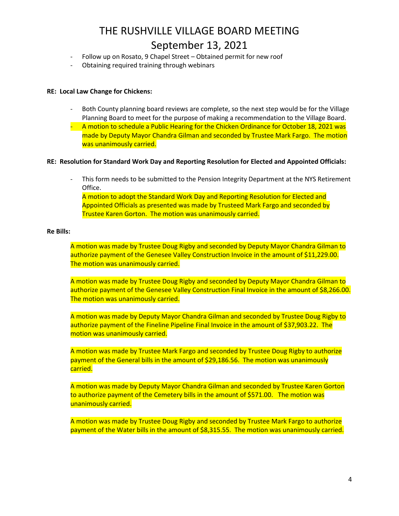- Follow up on Rosato, 9 Chapel Street Obtained permit for new roof
- Obtaining required training through webinars

#### **RE: Local Law Change for Chickens:**

- Both County planning board reviews are complete, so the next step would be for the Village Planning Board to meet for the purpose of making a recommendation to the Village Board.
- A motion to schedule a Public Hearing for the Chicken Ordinance for October 18, 2021 was made by Deputy Mayor Chandra Gilman and seconded by Trustee Mark Fargo. The motion was unanimously carried.

#### **RE: Resolution for Standard Work Day and Reporting Resolution for Elected and Appointed Officials:**

This form needs to be submitted to the Pension Integrity Department at the NYS Retirement Office. A motion to adopt the Standard Work Day and Reporting Resolution for Elected and

Appointed Officials as presented was made by Trusteed Mark Fargo and seconded by Trustee Karen Gorton. The motion was unanimously carried.

#### **Re Bills:**

A motion was made by Trustee Doug Rigby and seconded by Deputy Mayor Chandra Gilman to authorize payment of the Genesee Valley Construction Invoice in the amount of \$11,229.00. The motion was unanimously carried.

A motion was made by Trustee Doug Rigby and seconded by Deputy Mayor Chandra Gilman to authorize payment of the Genesee Valley Construction Final Invoice in the amount of \$8,266.00. The motion was unanimously carried.

A motion was made by Deputy Mayor Chandra Gilman and seconded by Trustee Doug Rigby to authorize payment of the Fineline Pipeline Final Invoice in the amount of \$37,903.22. The motion was unanimously carried.

A motion was made by Trustee Mark Fargo and seconded by Trustee Doug Rigby to authorize payment of the General bills in the amount of \$29,186.56. The motion was unanimously carried.

A motion was made by Deputy Mayor Chandra Gilman and seconded by Trustee Karen Gorton to authorize payment of the Cemetery bills in the amount of \$571.00. The motion was unanimously carried.

A motion was made by Trustee Doug Rigby and seconded by Trustee Mark Fargo to authorize payment of the Water bills in the amount of \$8,315.55. The motion was unanimously carried.